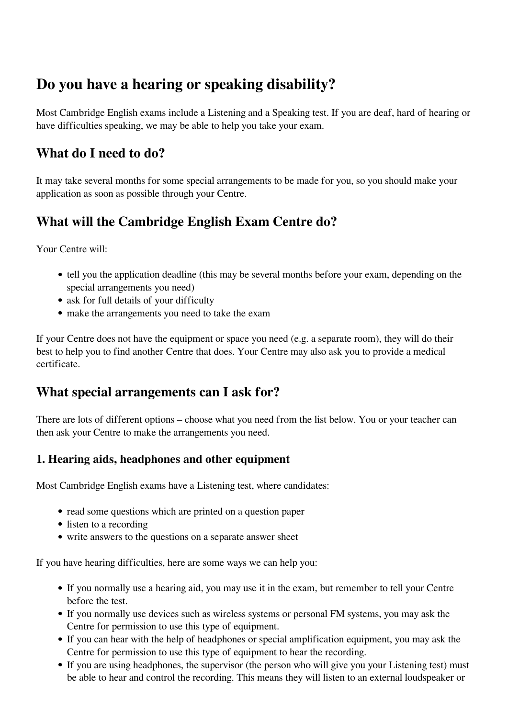# **Do you have a hearing or speaking disability?**

Most Cambridge English exams include a Listening and a Speaking test. If you are deaf, hard of hearing or have difficulties speaking, we may be able to help you take your exam.

## **What do I need to do?**

It may take several months for some special arrangements to be made for you, so you should make your application as soon as possible through your Centre.

# **What will the Cambridge English Exam Centre do?**

Your Centre will:

- tell you the application deadline (this may be several months before your exam, depending on the special arrangements you need)
- ask for full details of your difficulty
- make the arrangements you need to take the exam

If your Centre does not have the equipment or space you need (e.g. a separate room), they will do their best to help you to find another Centre that does. Your Centre may also ask you to provide a medical certificate.

## **What special arrangements can I ask for?**

There are lots of different options – choose what you need from the list below. You or your teacher can then ask your Centre to make the arrangements you need.

#### **1. Hearing aids, headphones and other equipment**

Most Cambridge English exams have a Listening test, where candidates:

- read some questions which are printed on a question paper
- listen to a recording
- write answers to the questions on a separate answer sheet

If you have hearing difficulties, here are some ways we can help you:

- If you normally use a hearing aid, you may use it in the exam, but remember to tell your Centre before the test.
- If you normally use devices such as wireless systems or personal FM systems, you may ask the Centre for permission to use this type of equipment.
- If you can hear with the help of headphones or special amplification equipment, you may ask the Centre for permission to use this type of equipment to hear the recording.
- If you are using headphones, the supervisor (the person who will give you your Listening test) must be able to hear and control the recording. This means they will listen to an external loudspeaker or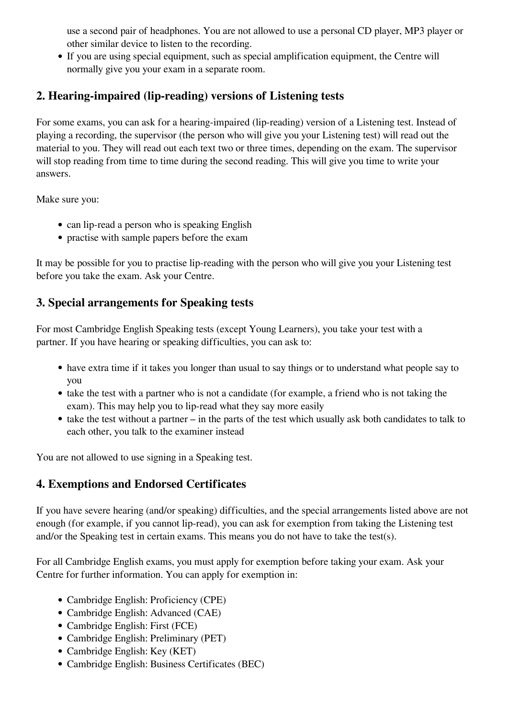use a second pair of headphones. You are not allowed to use a personal CD player, MP3 player or other similar device to listen to the recording.

If you are using special equipment, such as special amplification equipment, the Centre will normally give you your exam in a separate room.

#### **2. Hearing-impaired (lip-reading) versions of Listening tests**

For some exams, you can ask for a hearing-impaired (lip-reading) version of a Listening test. Instead of playing a recording, the supervisor (the person who will give you your Listening test) will read out the material to you. They will read out each text two or three times, depending on the exam. The supervisor will stop reading from time to time during the second reading. This will give you time to write your answers.

Make sure you:

- can lip-read a person who is speaking English
- practise with sample papers before the exam

It may be possible for you to practise lip-reading with the person who will give you your Listening test before you take the exam. Ask your Centre.

#### **3. Special arrangements for Speaking tests**

For most Cambridge English Speaking tests (except Young Learners), you take your test with a partner. If you have hearing or speaking difficulties, you can ask to:

- have extra time if it takes you longer than usual to say things or to understand what people say to you
- take the test with a partner who is not a candidate (for example, a friend who is not taking the exam). This may help you to lip-read what they say more easily
- $\bullet$  take the test without a partner in the parts of the test which usually ask both candidates to talk to each other, you talk to the examiner instead

You are not allowed to use signing in a Speaking test.

#### **4. Exemptions and Endorsed Certificates**

If you have severe hearing (and/or speaking) difficulties, and the special arrangements listed above are not enough (for example, if you cannot lip-read), you can ask for exemption from taking the Listening test and/or the Speaking test in certain exams. This means you do not have to take the test(s).

For all Cambridge English exams, you must apply for exemption before taking your exam. Ask your Centre for further information. You can apply for exemption in:

- Cambridge English: Proficiency (CPE)
- Cambridge English: Advanced (CAE)
- Cambridge English: First (FCE)
- Cambridge English: Preliminary (PET)
- Cambridge English: Key (KET)
- Cambridge English: Business Certificates (BEC)